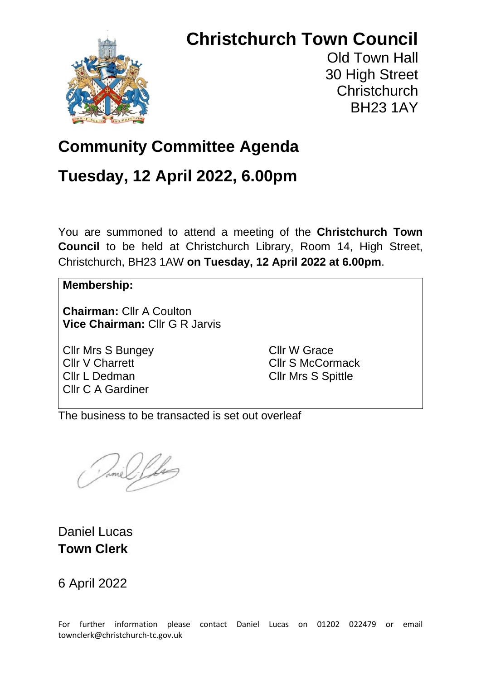# **Christchurch Town Council**



Old Town Hall 30 High Street **Christchurch** BH23 1AY

# **Community Committee Agenda**

## **Tuesday, 12 April 2022, 6.00pm**

You are summoned to attend a meeting of the **Christchurch Town Council** to be held at Christchurch Library, Room 14, High Street, Christchurch, BH23 1AW **on Tuesday, 12 April 2022 at 6.00pm**.

#### **Membership:**

**Chairman:** Cllr A Coulton **Vice Chairman:** Cllr G R Jarvis

Cllr Mrs S Bungey Cllr V Charrett Cllr L Dedman Cllr C A Gardiner

Cllr W Grace Cllr S McCormack Cllr Mrs S Spittle

The business to be transacted is set out overleaf

Daniel Lucas **Town Clerk**

6 April 2022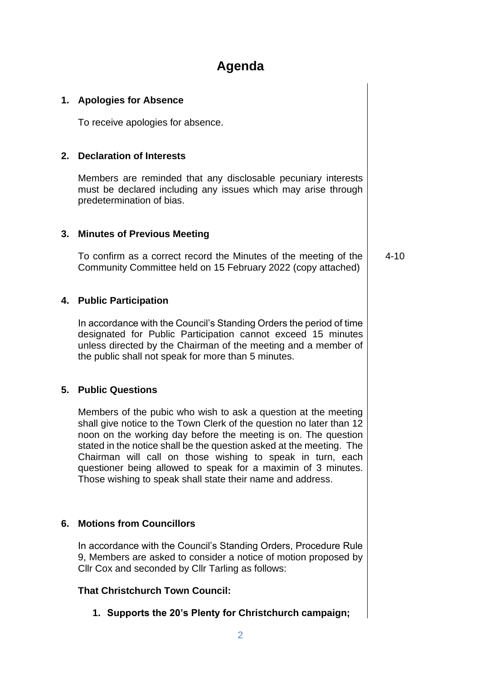### **Agenda**

#### **1. Apologies for Absence**

To receive apologies for absence.

#### **2. Declaration of Interests**

Members are reminded that any disclosable pecuniary interests must be declared including any issues which may arise through predetermination of bias.

#### **3. Minutes of Previous Meeting**

To confirm as a correct record the Minutes of the meeting of the Community Committee held on 15 February 2022 (copy attached)

4-10

#### **4. Public Participation**

In accordance with the Council's Standing Orders the period of time designated for Public Participation cannot exceed 15 minutes unless directed by the Chairman of the meeting and a member of the public shall not speak for more than 5 minutes.

#### **5. Public Questions**

Members of the pubic who wish to ask a question at the meeting shall give notice to the Town Clerk of the question no later than 12 noon on the working day before the meeting is on. The question stated in the notice shall be the question asked at the meeting. The Chairman will call on those wishing to speak in turn, each questioner being allowed to speak for a maximin of 3 minutes. Those wishing to speak shall state their name and address.

#### **6. Motions from Councillors**

In accordance with the Council's Standing Orders, Procedure Rule 9, Members are asked to consider a notice of motion proposed by Cllr Cox and seconded by Cllr Tarling as follows:

#### **That Christchurch Town Council:**

**1. Supports the 20's Plenty for Christchurch campaign;**

2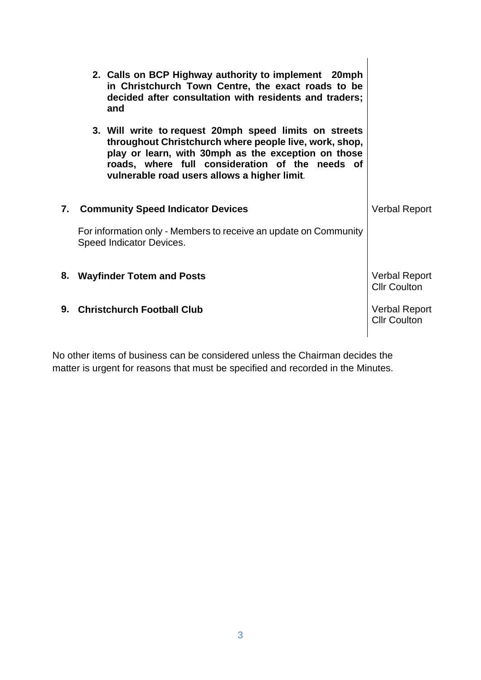| 2. Calls on BCP Highway authority to implement 20mph<br>in Christchurch Town Centre, the exact roads to be<br>decided after consultation with residents and traders;<br>and                                                                                                |                                             |
|----------------------------------------------------------------------------------------------------------------------------------------------------------------------------------------------------------------------------------------------------------------------------|---------------------------------------------|
| 3. Will write to request 20mph speed limits on streets<br>throughout Christchurch where people live, work, shop,<br>play or learn, with 30mph as the exception on those<br>roads, where full consideration of the needs of<br>vulnerable road users allows a higher limit. |                                             |
| 7. Community Speed Indicator Devices                                                                                                                                                                                                                                       | <b>Verbal Report</b>                        |
| For information only - Members to receive an update on Community<br>Speed Indicator Devices.                                                                                                                                                                               |                                             |
| <b>Wayfinder Totem and Posts</b><br>8.                                                                                                                                                                                                                                     | <b>Verbal Report</b><br><b>Cllr Coulton</b> |
| <b>Christchurch Football Club</b><br>9.                                                                                                                                                                                                                                    | <b>Verbal Report</b><br><b>Cllr Coulton</b> |

No other items of business can be considered unless the Chairman decides the matter is urgent for reasons that must be specified and recorded in the Minutes.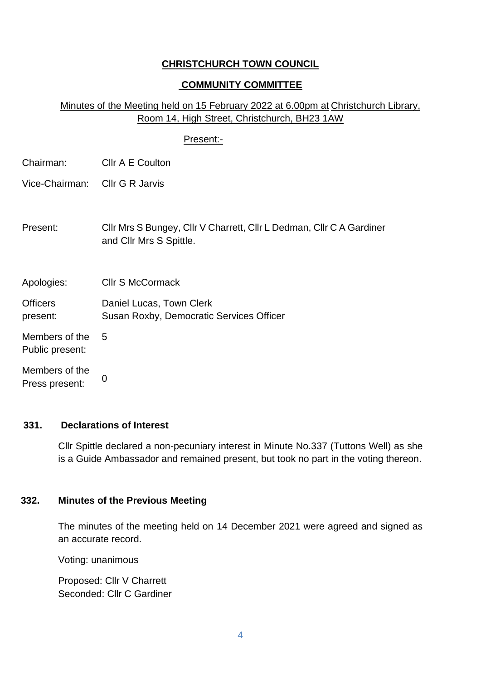#### **CHRISTCHURCH TOWN COUNCIL**

#### **COMMUNITY COMMITTEE**

#### Minutes of the Meeting held on 15 February 2022 at 6.00pm at Christchurch Library, Room 14, High Street, Christchurch, BH23 1AW

#### Present:-

| Chairman: | Cllr A E Coulton |
|-----------|------------------|
|           |                  |

- Vice-Chairman: Cllr G R Jarvis
- Present: Cllr Mrs S Bungey, Cllr V Charrett, Cllr L Dedman, Cllr C A Gardiner and Cllr Mrs S Spittle.

Apologies: Cllr S McCormack

5

**Officers** present: Daniel Lucas, Town Clerk Susan Roxby, Democratic Services Officer

Members of the Public present:

Members of the Press present: 0

#### **331. Declarations of Interest**

Cllr Spittle declared a non-pecuniary interest in Minute No.337 (Tuttons Well) as she is a Guide Ambassador and remained present, but took no part in the voting thereon.

#### **332. Minutes of the Previous Meeting**

The minutes of the meeting held on 14 December 2021 were agreed and signed as an accurate record.

Voting: unanimous

Proposed: Cllr V Charrett Seconded: Cllr C Gardiner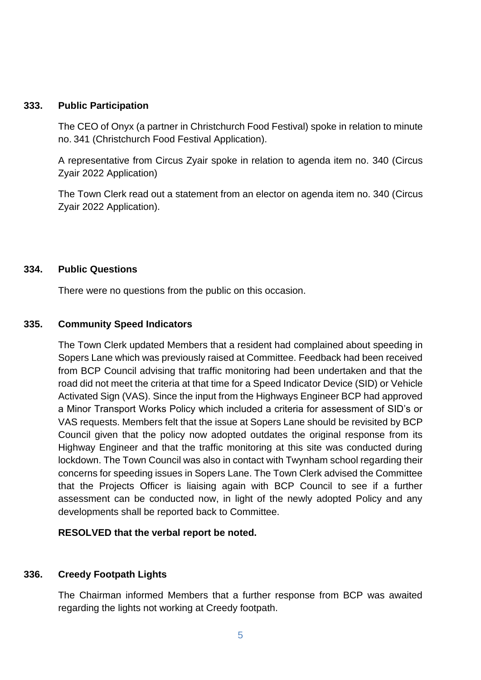#### **333. Public Participation**

The CEO of Onyx (a partner in Christchurch Food Festival) spoke in relation to minute no. 341 (Christchurch Food Festival Application).

A representative from Circus Zyair spoke in relation to agenda item no. 340 (Circus Zyair 2022 Application)

The Town Clerk read out a statement from an elector on agenda item no. 340 (Circus Zyair 2022 Application).

#### **334. Public Questions**

There were no questions from the public on this occasion.

#### **335. Community Speed Indicators**

The Town Clerk updated Members that a resident had complained about speeding in Sopers Lane which was previously raised at Committee. Feedback had been received from BCP Council advising that traffic monitoring had been undertaken and that the road did not meet the criteria at that time for a Speed Indicator Device (SID) or Vehicle Activated Sign (VAS). Since the input from the Highways Engineer BCP had approved a Minor Transport Works Policy which included a criteria for assessment of SID's or VAS requests. Members felt that the issue at Sopers Lane should be revisited by BCP Council given that the policy now adopted outdates the original response from its Highway Engineer and that the traffic monitoring at this site was conducted during lockdown. The Town Council was also in contact with Twynham school regarding their concerns for speeding issues in Sopers Lane. The Town Clerk advised the Committee that the Projects Officer is liaising again with BCP Council to see if a further assessment can be conducted now, in light of the newly adopted Policy and any developments shall be reported back to Committee.

#### **RESOLVED that the verbal report be noted.**

#### **336. Creedy Footpath Lights**

The Chairman informed Members that a further response from BCP was awaited regarding the lights not working at Creedy footpath.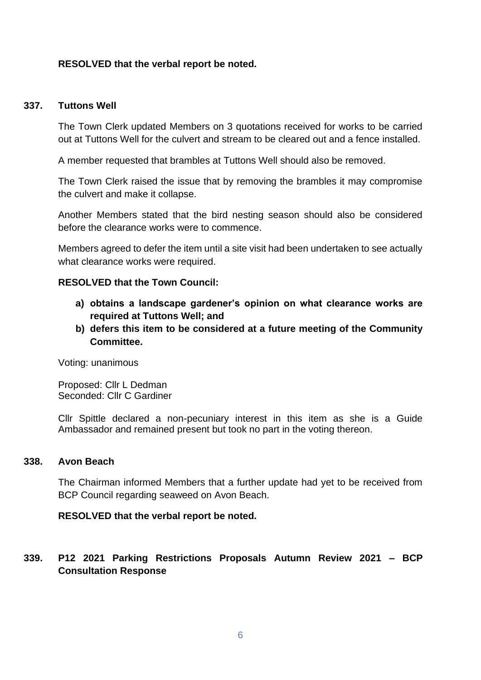#### **RESOLVED that the verbal report be noted.**

#### **337. Tuttons Well**

The Town Clerk updated Members on 3 quotations received for works to be carried out at Tuttons Well for the culvert and stream to be cleared out and a fence installed.

A member requested that brambles at Tuttons Well should also be removed.

The Town Clerk raised the issue that by removing the brambles it may compromise the culvert and make it collapse.

Another Members stated that the bird nesting season should also be considered before the clearance works were to commence.

Members agreed to defer the item until a site visit had been undertaken to see actually what clearance works were required.

#### **RESOLVED that the Town Council:**

- **a) obtains a landscape gardener's opinion on what clearance works are required at Tuttons Well; and**
- **b) defers this item to be considered at a future meeting of the Community Committee.**

Voting: unanimous

Proposed: Cllr L Dedman Seconded: Cllr C Gardiner

Cllr Spittle declared a non-pecuniary interest in this item as she is a Guide Ambassador and remained present but took no part in the voting thereon.

#### **338. Avon Beach**

The Chairman informed Members that a further update had yet to be received from BCP Council regarding seaweed on Avon Beach.

#### **RESOLVED that the verbal report be noted.**

#### **339. P12 2021 Parking Restrictions Proposals Autumn Review 2021 – BCP Consultation Response**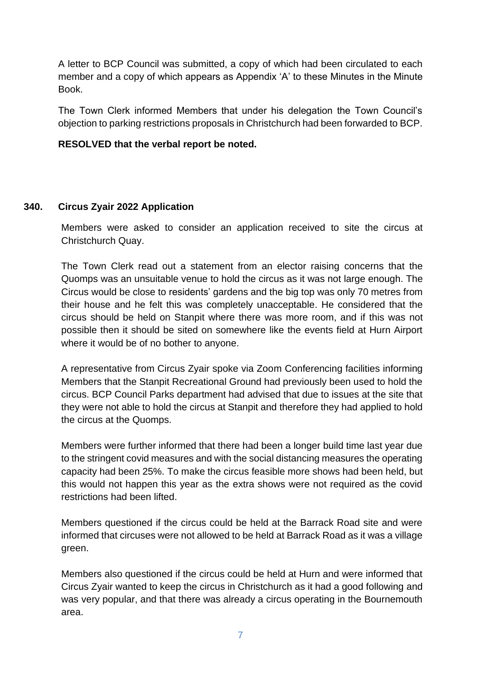A letter to BCP Council was submitted, a copy of which had been circulated to each member and a copy of which appears as Appendix 'A' to these Minutes in the Minute Book.

The Town Clerk informed Members that under his delegation the Town Council's objection to parking restrictions proposals in Christchurch had been forwarded to BCP.

#### **RESOLVED that the verbal report be noted.**

#### **340. Circus Zyair 2022 Application**

Members were asked to consider an application received to site the circus at Christchurch Quay.

The Town Clerk read out a statement from an elector raising concerns that the Quomps was an unsuitable venue to hold the circus as it was not large enough. The Circus would be close to residents' gardens and the big top was only 70 metres from their house and he felt this was completely unacceptable. He considered that the circus should be held on Stanpit where there was more room, and if this was not possible then it should be sited on somewhere like the events field at Hurn Airport where it would be of no bother to anyone.

A representative from Circus Zyair spoke via Zoom Conferencing facilities informing Members that the Stanpit Recreational Ground had previously been used to hold the circus. BCP Council Parks department had advised that due to issues at the site that they were not able to hold the circus at Stanpit and therefore they had applied to hold the circus at the Quomps.

Members were further informed that there had been a longer build time last year due to the stringent covid measures and with the social distancing measures the operating capacity had been 25%. To make the circus feasible more shows had been held, but this would not happen this year as the extra shows were not required as the covid restrictions had been lifted.

Members questioned if the circus could be held at the Barrack Road site and were informed that circuses were not allowed to be held at Barrack Road as it was a village green.

Members also questioned if the circus could be held at Hurn and were informed that Circus Zyair wanted to keep the circus in Christchurch as it had a good following and was very popular, and that there was already a circus operating in the Bournemouth area.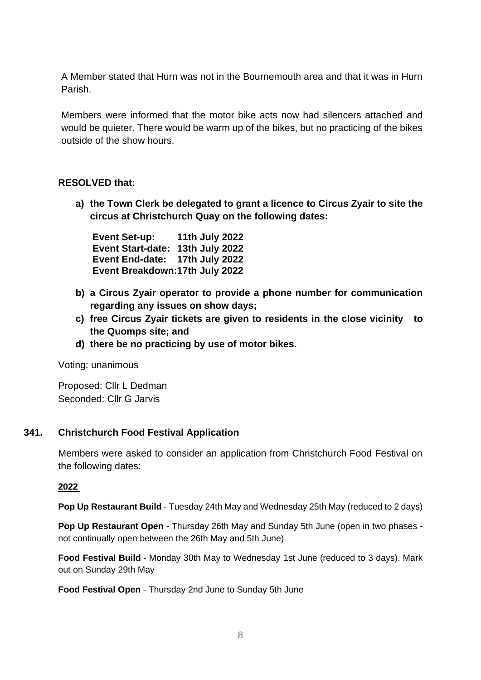A Member stated that Hurn was not in the Bournemouth area and that it was in Hurn Parish.

Members were informed that the motor bike acts now had silencers attached and would be quieter. There would be warm up of the bikes, but no practicing of the bikes outside of the show hours.

#### **RESOLVED that:**

**a) the Town Clerk be delegated to grant a licence to Circus Zyair to site the circus at Christchurch Quay on the following dates:**

**Event Set-up: 11th July 2022 Event Start-date: 13th July 2022 Event End-date: 17th July 2022 Event Breakdown:17th July 2022**

- **b) a Circus Zyair operator to provide a phone number for communication regarding any issues on show days;**
- **c) free Circus Zyair tickets are given to residents in the close vicinity to the Quomps site; and**
- **d) there be no practicing by use of motor bikes.**

Voting: unanimous

Proposed: Cllr L Dedman Seconded: Cllr G Jarvis

#### **341. Christchurch Food Festival Application**

Members were asked to consider an application from Christchurch Food Festival on the following dates:

#### **2022**

**Pop Up Restaurant Build** - Tuesday 24th May and Wednesday 25th May (reduced to 2 days)

**Pop Up Restaurant Open** - Thursday 26th May and Sunday 5th June (open in two phases not continually open between the 26th May and 5th June)

**Food Festival Build** - Monday 30th May to Wednesday 1st June (reduced to 3 days). Mark out on Sunday 29th May

**Food Festival Open** - Thursday 2nd June to Sunday 5th June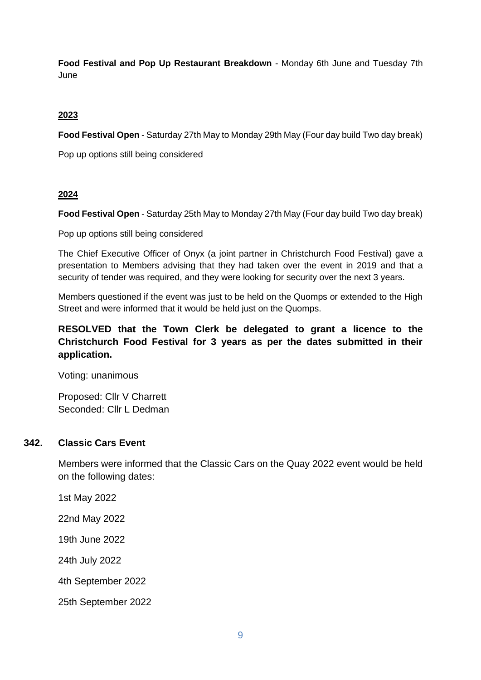**Food Festival and Pop Up Restaurant Breakdown** - Monday 6th June and Tuesday 7th June

#### **2023**

**Food Festival Open** - Saturday 27th May to Monday 29th May (Four day build Two day break)

Pop up options still being considered

#### **2024**

**Food Festival Open** - Saturday 25th May to Monday 27th May (Four day build Two day break)

Pop up options still being considered

The Chief Executive Officer of Onyx (a joint partner in Christchurch Food Festival) gave a presentation to Members advising that they had taken over the event in 2019 and that a security of tender was required, and they were looking for security over the next 3 years.

Members questioned if the event was just to be held on the Quomps or extended to the High Street and were informed that it would be held just on the Quomps.

#### **RESOLVED that the Town Clerk be delegated to grant a licence to the Christchurch Food Festival for 3 years as per the dates submitted in their application.**

Voting: unanimous

Proposed: Cllr V Charrett Seconded: Cllr L Dedman

#### **342. Classic Cars Event**

Members were informed that the Classic Cars on the Quay 2022 event would be held on the following dates:

1st May 2022

22nd May 2022

19th June 2022

24th July 2022

4th September 2022

25th September 2022